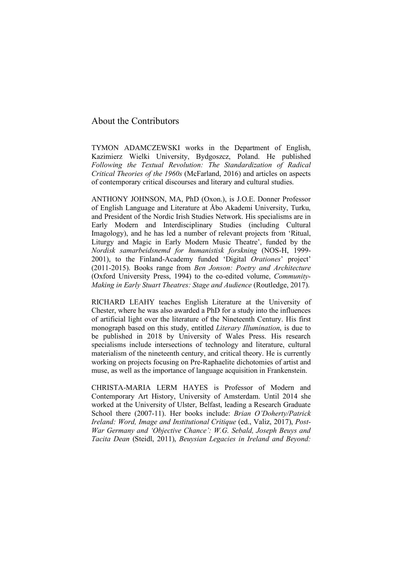## About the Contributors

TYMON ADAMCZEWSKI works in the Department of English, Kazimierz Wielki University, Bydgoszcz, Poland. He published *Following the Textual Revolution: The Standardization of Radical Critical Theories of the 1960s* (McFarland, 2016) and articles on aspects of contemporary critical discourses and literary and cultural studies.

ANTHONY JOHNSON, MA, PhD (Oxon.), is J.O.E. Donner Professor of English Language and Literature at Åbo Akademi University, Turku, and President of the Nordic Irish Studies Network. His specialisms are in Early Modern and Interdisciplinary Studies (including Cultural Imagology), and he has led a number of relevant projects from 'Ritual, Liturgy and Magic in Early Modern Music Theatre', funded by the *Nordisk samarbeidsnemd for humanistisk forskning* (NOS-H, 1999- 2001), to the Finland-Academy funded 'Digital *Orationes*' project' (2011-2015). Books range from *Ben Jonson: Poetry and Architecture* (Oxford University Press, 1994) to the co-edited volume, *Community-Making in Early Stuart Theatres: Stage and Audience* (Routledge, 2017).

RICHARD LEAHY teaches English Literature at the University of Chester, where he was also awarded a PhD for a study into the influences of artificial light over the literature of the Nineteenth Century. His first monograph based on this study, entitled *Literary Illumination*, is due to be published in 2018 by University of Wales Press. His research specialisms include intersections of technology and literature, cultural materialism of the nineteenth century, and critical theory. He is currently working on projects focusing on Pre-Raphaelite dichotomies of artist and muse, as well as the importance of language acquisition in Frankenstein.

CHRISTA-MARIA LERM HAYES is Professor of Modern and Contemporary Art History, University of Amsterdam. Until 2014 she worked at the University of Ulster, Belfast, leading a Research Graduate School there (2007-11). Her books include: *Brian O'Doherty/Patrick Ireland: Word, Image and Institutional Critique* (ed., Valiz, 2017), *Post-War Germany and 'Objective Chance': W.G. Sebald, Joseph Beuys and Tacita Dean* (Steidl, 2011), *Beuysian Legacies in Ireland and Beyond:*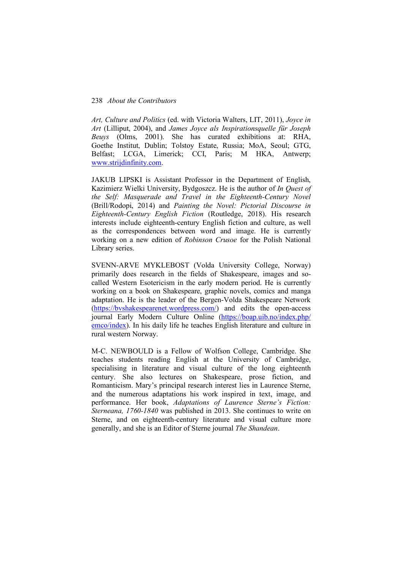## 238 *About the Contributors*

*Art, Culture and Politics* (ed. with Victoria Walters, LIT, 2011), *Joyce in Art* (Lilliput, 2004), and *James Joyce als Inspirationsquelle für Joseph Beuys* (Olms, 2001). She has curated exhibitions at: RHA, Goethe Institut, Dublin; Tolstoy Estate, Russia; MoA, Seoul; GTG, Belfast; LCGA, Limerick; CCI, Paris; M HKA, Antwerp; www.strijdinfinity.com.

JAKUB LIPSKI is Assistant Professor in the Department of English, Kazimierz Wielki University, Bydgoszcz. He is the author of *In Quest of the Self: Masquerade and Travel in the Eighteenth-Century Novel* (Brill/Rodopi, 2014) and *Painting the Novel: Pictorial Discourse in Eighteenth-Century English Fiction* (Routledge, 2018). His research interests include eighteenth-century English fiction and culture, as well as the correspondences between word and image. He is currently working on a new edition of *Robinson Crusoe* for the Polish National Library series.

SVENN-ARVE MYKLEBOST (Volda University College, Norway) primarily does research in the fields of Shakespeare, images and socalled Western Esotericism in the early modern period. He is currently working on a book on Shakespeare, graphic novels, comics and manga adaptation. He is the leader of the Bergen-Volda Shakespeare Network (https://bvshakespearenet.wordpress.com/) and edits the open-access journal Early Modern Culture Online (https://boap.uib.no/index.php/ emco/index). In his daily life he teaches English literature and culture in rural western Norway.

M-C. NEWBOULD is a Fellow of Wolfson College, Cambridge. She teaches students reading English at the University of Cambridge, specialising in literature and visual culture of the long eighteenth century. She also lectures on Shakespeare, prose fiction, and Romanticism. Mary's principal research interest lies in Laurence Sterne, and the numerous adaptations his work inspired in text, image, and performance. Her book, *Adaptations of Laurence Sterne's Fiction: Sterneana, 1760-1840* was published in 2013. She continues to write on Sterne, and on eighteenth-century literature and visual culture more generally, and she is an Editor of Sterne journal *The Shandean*.